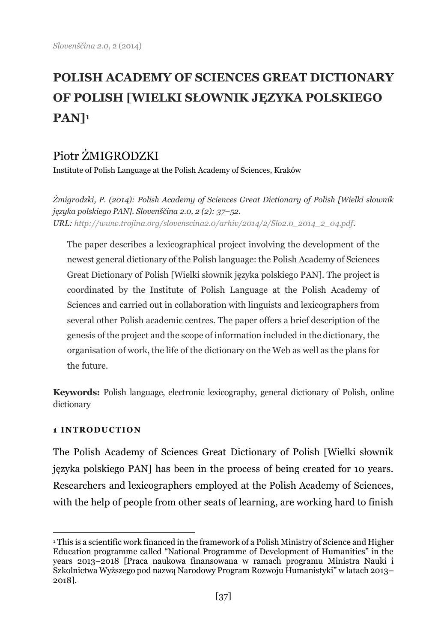# **POLISH ACADEMY OF SCIENCES GREAT DICTIONARY OF POLISH [WIELKI SŁOWNIK JĘZYKA POLSKIEGO PAN]<sup>1</sup>**

# Piotr ŻMIGRODZKI

Institute of Polish Language at the Polish Academy of Sciences, Kraków

*Żmigrodzki, P. (2014): Polish Academy of Sciences Great Dictionary of Polish [Wielki słownik języka polskiego PAN]. Slovenščina 2.0, 2 (2): 37–52. URL: [http://www.trojina.org/slovenscina2.0/arhiv/2014/2/Slo2.0\\_2014\\_2\\_04.pdf.](http://www.trojina.org/slovenscina2.0/arhiv/2014/2/Slo2.0_2014_2_04.pdf)*

The paper describes a lexicographical project involving the development of the newest general dictionary of the Polish language: the Polish Academy of Sciences Great Dictionary of Polish [Wielki słownik języka polskiego PAN]. The project is coordinated by the Institute of Polish Language at the Polish Academy of Sciences and carried out in collaboration with linguists and lexicographers from several other Polish academic centres. The paper offers a brief description of the genesis of the project and the scope of information included in the dictionary, the organisation of work, the life of the dictionary on the Web as well as the plans for the future.

**Keywords:** Polish language, electronic lexicography, general dictionary of Polish, online dictionary

# **1 INTRODUCTION**

The Polish Academy of Sciences Great Dictionary of Polish [Wielki słownik języka polskiego PAN] has been in the process of being created for 10 years. Researchers and lexicographers employed at the Polish Academy of Sciences, with the help of people from other seats of learning, are working hard to finish

 $\overline{a}$ <sup>1</sup> This is a scientific work financed in the framework of a Polish Ministry of Science and Higher Education programme called "National Programme of Development of Humanities" in the years 2013–2018 [Praca naukowa finansowana w ramach programu Ministra Nauki i Szkolnictwa Wyższego pod nazwą Narodowy Program Rozwoju Humanistyki" w latach 2013– 2018].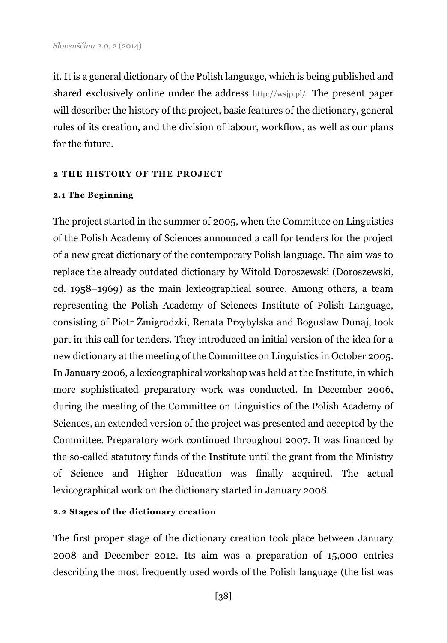it. It is a general dictionary of the Polish language, which is being published and shared exclusively online under the address http://wsjp.pl/. The present paper will describe: the history of the project, basic features of the dictionary, general rules of its creation, and the division of labour, workflow, as well as our plans for the future.

#### **2 THE HISTORY OF THE PROJECT**

#### **2.1 The Beginning**

The project started in the summer of 2005, when the Committee on Linguistics of the Polish Academy of Sciences announced a call for tenders for the project of a new great dictionary of the contemporary Polish language. The aim was to replace the already outdated dictionary by Witold Doroszewski (Doroszewski, ed. 1958–1969) as the main lexicographical source. Among others, a team representing the Polish Academy of Sciences Institute of Polish Language, consisting of Piotr Żmigrodzki, Renata Przybylska and Bogusław Dunaj, took part in this call for tenders. They introduced an initial version of the idea for a new dictionary at the meeting of the Committee on Linguistics in October 2005. In January 2006, a lexicographical workshop was held at the Institute, in which more sophisticated preparatory work was conducted. In December 2006, during the meeting of the Committee on Linguistics of the Polish Academy of Sciences, an extended version of the project was presented and accepted by the Committee. Preparatory work continued throughout 2007. It was financed by the so-called statutory funds of the Institute until the grant from the Ministry of Science and Higher Education was finally acquired. The actual lexicographical work on the dictionary started in January 2008.

#### **2.2 Stages of the dictionary creation**

The first proper stage of the dictionary creation took place between January 2008 and December 2012. Its aim was a preparation of 15,000 entries describing the most frequently used words of the Polish language (the list was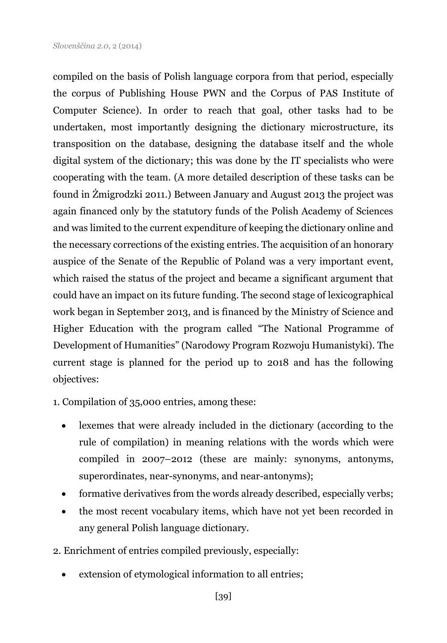compiled on the basis of Polish language corpora from that period, especially the corpus of Publishing House PWN and the Corpus of PAS Institute of Computer Science). In order to reach that goal, other tasks had to be undertaken, most importantly designing the dictionary microstructure, its transposition on the database, designing the database itself and the whole digital system of the dictionary; this was done by the IT specialists who were cooperating with the team. (A more detailed description of these tasks can be found in Żmigrodzki 2011.) Between January and August 2013 the project was again financed only by the statutory funds of the Polish Academy of Sciences and was limited to the current expenditure of keeping the dictionary online and the necessary corrections of the existing entries. The acquisition of an honorary auspice of the Senate of the Republic of Poland was a very important event, which raised the status of the project and became a significant argument that could have an impact on its future funding. The second stage of lexicographical work began in September 2013, and is financed by the Ministry of Science and Higher Education with the program called "The National Programme of Development of Humanities" (Narodowy Program Rozwoju Humanistyki). The current stage is planned for the period up to 2018 and has the following objectives:

1. Compilation of 35,000 entries, among these:

- lexemes that were already included in the dictionary (according to the rule of compilation) in meaning relations with the words which were compiled in 2007–2012 (these are mainly: synonyms, antonyms, superordinates, near-synonyms, and near-antonyms);
- formative derivatives from the words already described, especially verbs;
- the most recent vocabulary items, which have not yet been recorded in any general Polish language dictionary.
- 2. Enrichment of entries compiled previously, especially:
	- extension of etymological information to all entries;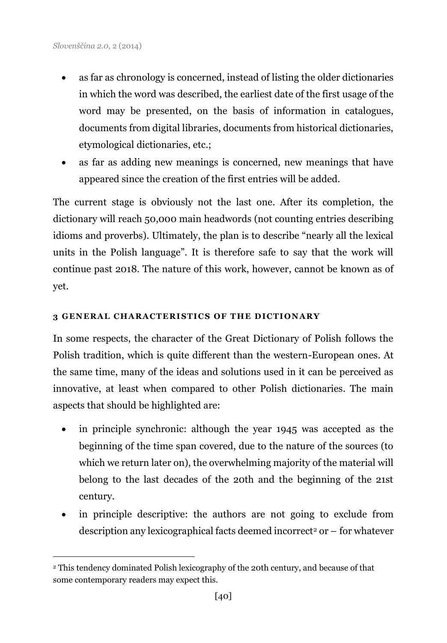j

- as far as chronology is concerned, instead of listing the older dictionaries in which the word was described, the earliest date of the first usage of the word may be presented, on the basis of information in catalogues, documents from digital libraries, documents from historical dictionaries, etymological dictionaries, etc.;
- as far as adding new meanings is concerned, new meanings that have appeared since the creation of the first entries will be added.

The current stage is obviously not the last one. After its completion, the dictionary will reach 50,000 main headwords (not counting entries describing idioms and proverbs). Ultimately, the plan is to describe "nearly all the lexical units in the Polish language". It is therefore safe to say that the work will continue past 2018. The nature of this work, however, cannot be known as of yet.

# **3 GENERAL CHARACTERISTICS OF THE DICTIONARY**

In some respects, the character of the Great Dictionary of Polish follows the Polish tradition, which is quite different than the western-European ones. At the same time, many of the ideas and solutions used in it can be perceived as innovative, at least when compared to other Polish dictionaries. The main aspects that should be highlighted are:

- in principle synchronic: although the year 1945 was accepted as the beginning of the time span covered, due to the nature of the sources (to which we return later on), the overwhelming majority of the material will belong to the last decades of the 20th and the beginning of the 21st century.
- in principle descriptive: the authors are not going to exclude from  $\alpha$  description any lexicographical facts deemed incorrect<sup>2</sup> or – for whatever

<sup>2</sup> This tendency dominated Polish lexicography of the 20th century, and because of that some contemporary readers may expect this.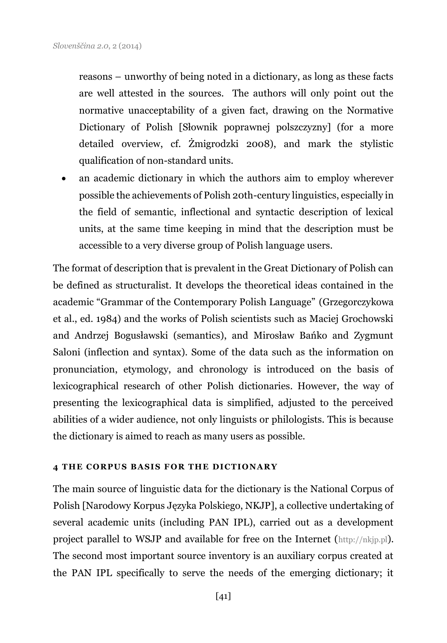reasons – unworthy of being noted in a dictionary, as long as these facts are well attested in the sources. The authors will only point out the normative unacceptability of a given fact, drawing on the Normative Dictionary of Polish [Słownik poprawnej polszczyzny] (for a more detailed overview, cf. Żmigrodzki 2008), and mark the stylistic qualification of non-standard units.

 an academic dictionary in which the authors aim to employ wherever possible the achievements of Polish 20th-century linguistics, especially in the field of semantic, inflectional and syntactic description of lexical units, at the same time keeping in mind that the description must be accessible to a very diverse group of Polish language users.

The format of description that is prevalent in the Great Dictionary of Polish can be defined as structuralist. It develops the theoretical ideas contained in the academic "Grammar of the Contemporary Polish Language" (Grzegorczykowa et al., ed. 1984) and the works of Polish scientists such as Maciej Grochowski and Andrzej Bogusławski (semantics), and Mirosław Bańko and Zygmunt Saloni (inflection and syntax). Some of the data such as the information on pronunciation, etymology, and chronology is introduced on the basis of lexicographical research of other Polish dictionaries. However, the way of presenting the lexicographical data is simplified, adjusted to the perceived abilities of a wider audience, not only linguists or philologists. This is because the dictionary is aimed to reach as many users as possible.

# **4 THE CORPUS BASIS FOR THE DICTIONARY**

The main source of linguistic data for the dictionary is the National Corpus of Polish [Narodowy Korpus Języka Polskiego, NKJP], a collective undertaking of several academic units (including PAN IPL), carried out as a development project parallel to WSJP and available for free on the Internet ([http://nkjp.pl](http://nkjp.pl/)). The second most important source inventory is an auxiliary corpus created at the PAN IPL specifically to serve the needs of the emerging dictionary; it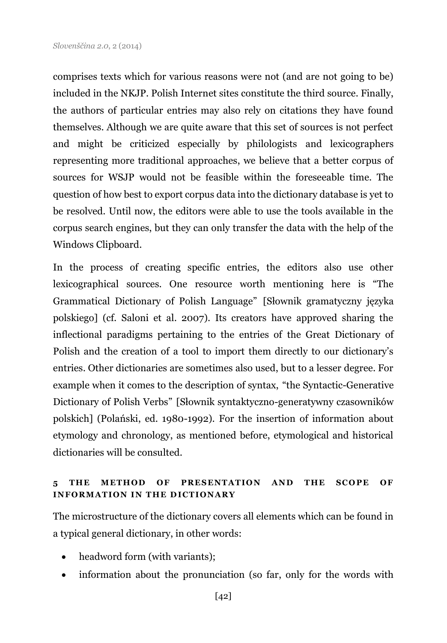comprises texts which for various reasons were not (and are not going to be) included in the NKJP. Polish Internet sites constitute the third source. Finally, the authors of particular entries may also rely on citations they have found themselves. Although we are quite aware that this set of sources is not perfect and might be criticized especially by philologists and lexicographers representing more traditional approaches, we believe that a better corpus of sources for WSJP would not be feasible within the foreseeable time. The question of how best to export corpus data into the dictionary database is yet to be resolved. Until now, the editors were able to use the tools available in the corpus search engines, but they can only transfer the data with the help of the Windows Clipboard.

In the process of creating specific entries, the editors also use other lexicographical sources. One resource worth mentioning here is "The Grammatical Dictionary of Polish Language" [Słownik gramatyczny języka polskiego] (cf. Saloni et al. 2007). Its creators have approved sharing the inflectional paradigms pertaining to the entries of the Great Dictionary of Polish and the creation of a tool to import them directly to our dictionary's entries. Other dictionaries are sometimes also used, but to a lesser degree. For example when it comes to the description of syntax, "the Syntactic-Generative Dictionary of Polish Verbs" [Słownik syntaktyczno-generatywny czasowników polskich] (Polański, ed. 1980-1992). For the insertion of information about etymology and chronology, as mentioned before, etymological and historical dictionaries will be consulted.

# 5 THE METHOD OF PRESENTATION AND THE SCOPE OF **INFORMATION IN THE DICTIONARY**

The microstructure of the dictionary covers all elements which can be found in a typical general dictionary, in other words:

- headword form (with variants);
- information about the pronunciation (so far, only for the words with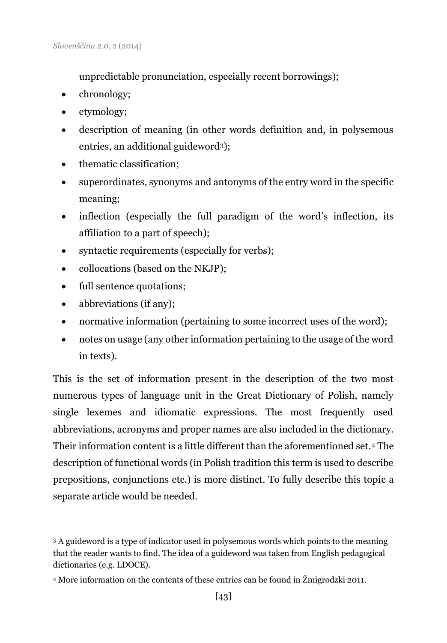unpredictable pronunciation, especially recent borrowings);

- chronology;
- etymology;
- description of meaning (in other words definition and, in polysemous entries, an additional guideword3);
- thematic classification:
- superordinates, synonyms and antonyms of the entry word in the specific meaning;
- inflection (especially the full paradigm of the word's inflection, its affiliation to a part of speech);
- syntactic requirements (especially for verbs);
- collocations (based on the NKJP);
- full sentence quotations;
- abbreviations (if any);

j

- normative information (pertaining to some incorrect uses of the word);
- notes on usage (any other information pertaining to the usage of the word in texts).

This is the set of information present in the description of the two most numerous types of language unit in the Great Dictionary of Polish, namely single lexemes and idiomatic expressions. The most frequently used abbreviations, acronyms and proper names are also included in the dictionary. Their information content is a little different than the aforementioned set.<sup>4</sup> The description of functional words (in Polish tradition this term is used to describe prepositions, conjunctions etc.) is more distinct. To fully describe this topic a separate article would be needed.

<sup>3</sup> A guideword is a type of indicator used in polysemous words which points to the meaning that the reader wants to find. The idea of a guideword was taken from English pedagogical dictionaries (e.g. LDOCE).

<sup>4</sup> More information on the contents of these entries can be found in Żmigrodzki 2011.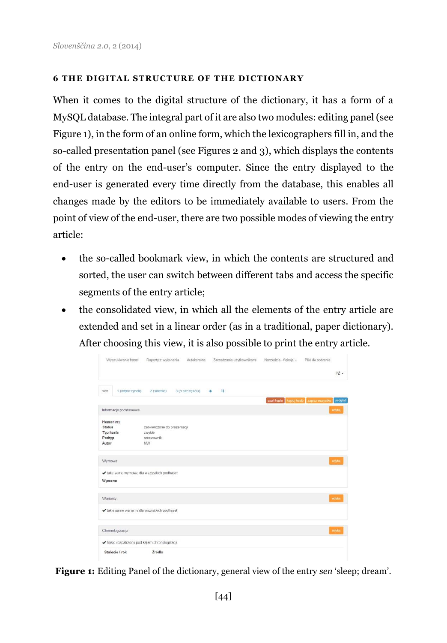#### **6 THE DIGITAL STRUCTURE OF THE DICTIONARY**

When it comes to the digital structure of the dictionary, it has a form of a MySQL database. The integral part of it are also two modules: editing panel (see Figure 1), in the form of an online form, which the lexicographers fill in, and the so-called presentation panel (see Figures 2 and 3), which displays the contents of the entry on the end-user's computer. Since the entry displayed to the end-user is generated every time directly from the database, this enables all changes made by the editors to be immediately available to users. From the point of view of the end-user, there are two possible modes of viewing the entry article:

- the so-called bookmark view, in which the contents are structured and sorted, the user can switch between different tabs and access the specific segments of the entry article;
- the consolidated view, in which all the elements of the entry article are extended and set in a linear order (as in a traditional, paper dictionary). After choosing this view, it is also possible to print the entry article.

| Wyszukiwanie haseł    | Raporty z wykonania<br>Autokorekta<br>Zarządzanie użytkownikami | Narzędzia - fleksja +<br>Pliki do pobrania         |  |
|-----------------------|-----------------------------------------------------------------|----------------------------------------------------|--|
|                       |                                                                 | $P2 -$                                             |  |
|                       |                                                                 |                                                    |  |
| 1 (odpoczynek)<br>sen | $\mathbf{1}$<br>2 (śnienie)<br>3 (o szczęściu)                  |                                                    |  |
|                       |                                                                 | kopiuj hasło zapisz wszystko podgląd<br>usun haslo |  |
| Informacje podstawowe |                                                                 | odvtuj                                             |  |
| Homonimy              |                                                                 |                                                    |  |
| <b>Status</b>         | zatwierdzone do prezentacji                                     |                                                    |  |
| Typ hasła             | zwykle                                                          |                                                    |  |
| Podtyp                | rzeczownik                                                      |                                                    |  |
| Autor                 | <b>MW</b>                                                       |                                                    |  |
| Wymowa                |                                                                 | edytuj                                             |  |
|                       | ✔ taka sama wymowa dla wszystkich podhaseł                      |                                                    |  |
| Wymowa                |                                                                 |                                                    |  |
|                       |                                                                 |                                                    |  |
| Warianty              |                                                                 | edytuj                                             |  |
|                       | ✔ takie same warianty dla wszystkich podhaseł                   |                                                    |  |
| Chronologizacja       |                                                                 | edytui                                             |  |
|                       | ◆ hasio rozpatrzono pod kątem chronologizacji                   |                                                    |  |
| Stulecie / rok        | Źródło                                                          |                                                    |  |

**Figure 1:** Editing Panel of the dictionary, general view of the entry *sen* 'sleep; dream'.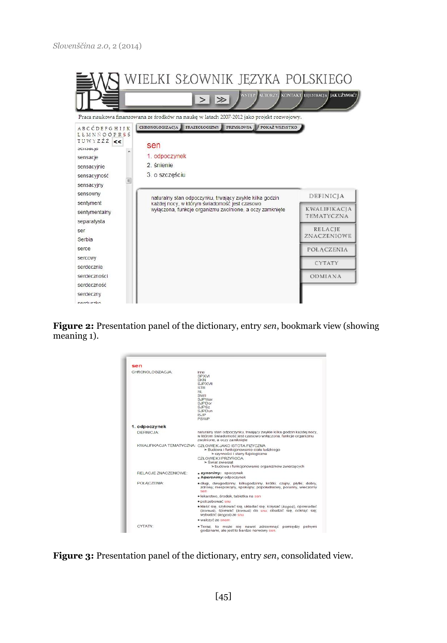

**Figure 2:** Presentation panel of the dictionary, entry *sen*, bookmark view (showing meaning 1).



**Figure 3:** Presentation panel of the dictionary, entry *sen*, consolidated view.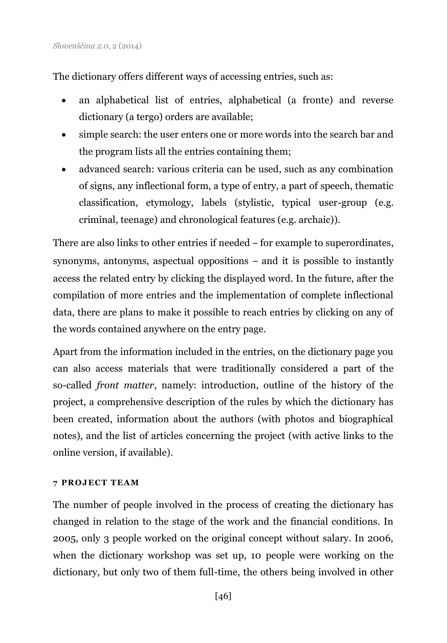The dictionary offers different ways of accessing entries, such as:

- an alphabetical list of entries, alphabetical (a fronte) and reverse dictionary (a tergo) orders are available;
- simple search: the user enters one or more words into the search bar and the program lists all the entries containing them;
- advanced search: various criteria can be used, such as any combination of signs, any inflectional form, a type of entry, a part of speech, thematic classification, etymology, labels (stylistic, typical user-group (e.g. criminal, teenage) and chronological features (e.g. archaic)).

There are also links to other entries if needed – for example to superordinates, synonyms, antonyms, aspectual oppositions – and it is possible to instantly access the related entry by clicking the displayed word. In the future, after the compilation of more entries and the implementation of complete inflectional data, there are plans to make it possible to reach entries by clicking on any of the words contained anywhere on the entry page.

Apart from the information included in the entries, on the dictionary page you can also access materials that were traditionally considered a part of the so-called *front matter*, namely: introduction, outline of the history of the project, a comprehensive description of the rules by which the dictionary has been created, information about the authors (with photos and biographical notes), and the list of articles concerning the project (with active links to the online version, if available).

# **7 PROJ ECT TEAM**

The number of people involved in the process of creating the dictionary has changed in relation to the stage of the work and the financial conditions. In 2005, only 3 people worked on the original concept without salary. In 2006, when the dictionary workshop was set up, 10 people were working on the dictionary, but only two of them full-time, the others being involved in other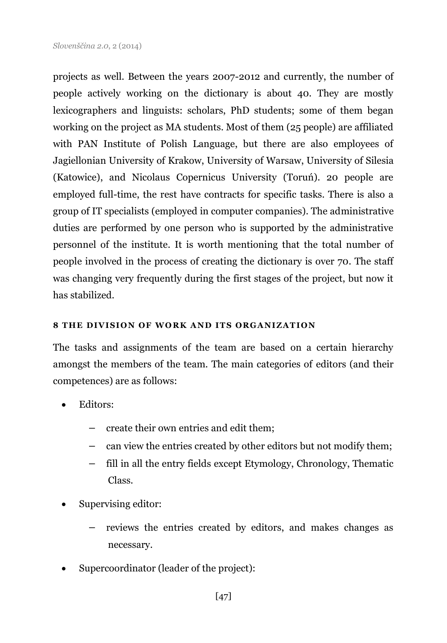projects as well. Between the years 2007-2012 and currently, the number of people actively working on the dictionary is about 40. They are mostly lexicographers and linguists: scholars, PhD students; some of them began working on the project as MA students. Most of them (25 people) are affiliated with PAN Institute of Polish Language, but there are also employees of Jagiellonian University of Krakow, University of Warsaw, University of Silesia (Katowice), and Nicolaus Copernicus University (Toruń). 20 people are employed full-time, the rest have contracts for specific tasks. There is also a group of IT specialists (employed in computer companies). The administrative duties are performed by one person who is supported by the administrative personnel of the institute. It is worth mentioning that the total number of people involved in the process of creating the dictionary is over 70. The staff was changing very frequently during the first stages of the project, but now it has stabilized.

### **8 THE DIVISION OF WORK AND ITS ORGANIZATION**

The tasks and assignments of the team are based on a certain hierarchy amongst the members of the team. The main categories of editors (and their competences) are as follows:

- Editors:
	- create their own entries and edit them;
	- can view the entries created by other editors but not modify them;
	- fill in all the entry fields except Etymology, Chronology, Thematic Class.
- Supervising editor:
	- reviews the entries created by editors, and makes changes as necessary.
- Supercoordinator (leader of the project):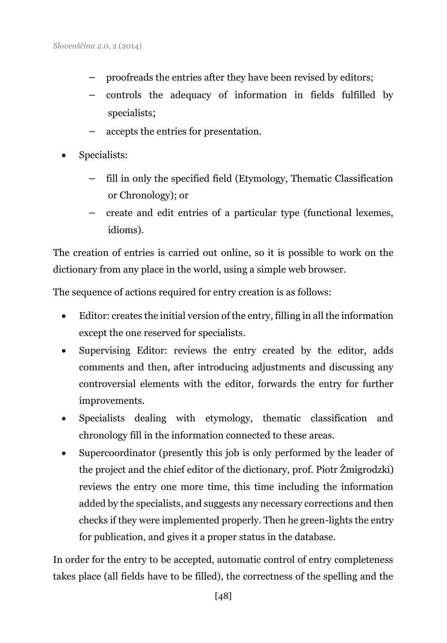- proofreads the entries after they have been revised by editors;
- controls the adequacy of information in fields fulfilled by specialists;
- accepts the entries for presentation.
- Specialists:
	- fill in only the specified field (Etymology, Thematic Classification or Chronology); or
	- create and edit entries of a particular type (functional lexemes, idioms).

The creation of entries is carried out online, so it is possible to work on the dictionary from any place in the world, using a simple web browser.

The sequence of actions required for entry creation is as follows:

- Editor: creates the initial version of the entry, filling in all the information except the one reserved for specialists.
- Supervising Editor: reviews the entry created by the editor, adds comments and then, after introducing adjustments and discussing any controversial elements with the editor, forwards the entry for further improvements.
- Specialists dealing with etymology, thematic classification and chronology fill in the information connected to these areas.
- Supercoordinator (presently this job is only performed by the leader of the project and the chief editor of the dictionary, prof. Piotr Żmigrodzki) reviews the entry one more time, this time including the information added by the specialists, and suggests any necessary corrections and then checks if they were implemented properly. Then he green-lights the entry for publication, and gives it a proper status in the database.

In order for the entry to be accepted, automatic control of entry completeness takes place (all fields have to be filled), the correctness of the spelling and the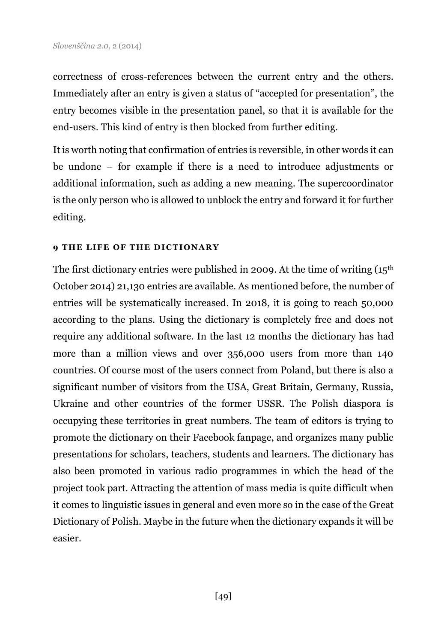correctness of cross-references between the current entry and the others. Immediately after an entry is given a status of "accepted for presentation", the entry becomes visible in the presentation panel, so that it is available for the end-users. This kind of entry is then blocked from further editing.

It is worth noting that confirmation of entries is reversible, in other words it can be undone – for example if there is a need to introduce adjustments or additional information, such as adding a new meaning. The supercoordinator is the only person who is allowed to unblock the entry and forward it for further editing.

#### **9 THE LIFE OF THE DICTIONARY**

The first dictionary entries were published in 2009. At the time of writing  $(15<sup>th</sup>)$ October 2014) 21,130 entries are available. As mentioned before, the number of entries will be systematically increased. In 2018, it is going to reach 50,000 according to the plans. Using the dictionary is completely free and does not require any additional software. In the last 12 months the dictionary has had more than a million views and over 356,000 users from more than 140 countries. Of course most of the users connect from Poland, but there is also a significant number of visitors from the USA, Great Britain, Germany, Russia, Ukraine and other countries of the former USSR. The Polish diaspora is occupying these territories in great numbers. The team of editors is trying to promote the dictionary on their Facebook fanpage, and organizes many public presentations for scholars, teachers, students and learners. The dictionary has also been promoted in various radio programmes in which the head of the project took part. Attracting the attention of mass media is quite difficult when it comes to linguistic issues in general and even more so in the case of the Great Dictionary of Polish. Maybe in the future when the dictionary expands it will be easier.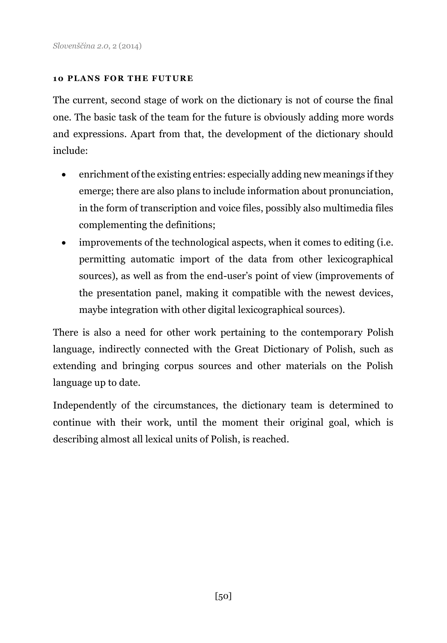#### **10 PLANS FOR THE FUTURE**

The current, second stage of work on the dictionary is not of course the final one. The basic task of the team for the future is obviously adding more words and expressions. Apart from that, the development of the dictionary should include:

- enrichment of the existing entries: especially adding new meanings if they emerge; there are also plans to include information about pronunciation, in the form of transcription and voice files, possibly also multimedia files complementing the definitions;
- improvements of the technological aspects, when it comes to editing (i.e. permitting automatic import of the data from other lexicographical sources), as well as from the end-user's point of view (improvements of the presentation panel, making it compatible with the newest devices, maybe integration with other digital lexicographical sources).

There is also a need for other work pertaining to the contemporary Polish language, indirectly connected with the Great Dictionary of Polish, such as extending and bringing corpus sources and other materials on the Polish language up to date.

Independently of the circumstances, the dictionary team is determined to continue with their work, until the moment their original goal, which is describing almost all lexical units of Polish, is reached.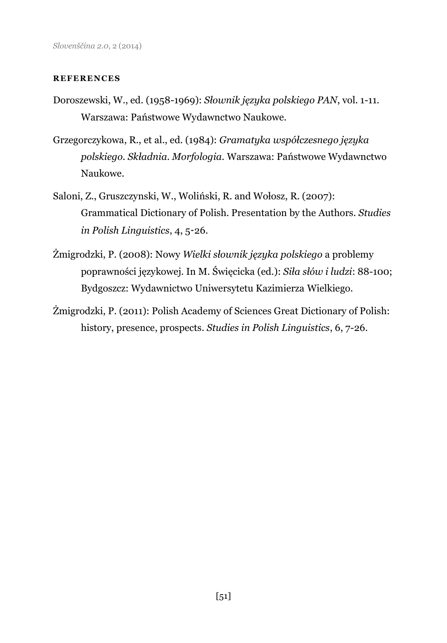#### **REFERENCES**

- Doroszewski, W., ed. (1958-1969): *Słownik języka polskiego PAN*, vol. 1-11. Warszawa: Państwowe Wydawnctwo Naukowe.
- Grzegorczykowa, R., et al., ed. (1984): *Gramatyka współczesnego języka polskiego. Składnia. Morfologia.* Warszawa: Państwowe Wydawnctwo Naukowe.
- Saloni, Z., Gruszczynski, W., Woliński, R. and Wołosz, R. (2007): Grammatical Dictionary of Polish. Presentation by the Authors. *Studies in Polish Linguistics*, 4, 5-26.
- Żmigrodzki, P. (2008): Nowy *Wielki słownik języka polskiego* a problemy poprawności językowej. In M. Święcicka (ed.): *Siła słów i ludzi*: 88-100; Bydgoszcz: Wydawnictwo Uniwersytetu Kazimierza Wielkiego.
- Żmigrodzki, P. (2011): Polish Academy of Sciences Great Dictionary of Polish: history, presence, prospects. *Studies in Polish Linguistics*, 6, 7-26.